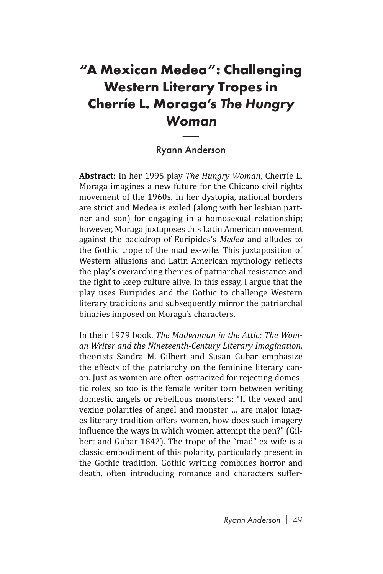## **"A Mexican Medea": Challenging Western Literary Tropes in Cherríe L. Moraga's** *The Hungry Woman* eral<br>'agc<br>|<br>| And

## Ryann Anderson

**Abstract:** In her 1995 play *The Hungry Woman*, Cherríe L. Moraga imagines a new future for the Chicano civil rights movement of the 1960s. In her dystopia, national borders are strict and Medea is exiled (along with her lesbian partner and son) for engaging in a homosexual relationship; however, Moraga juxtaposes this Latin American movement against the backdrop of Euripides's *Medea* and alludes to the Gothic trope of the mad ex-wife. This juxtaposition of Western allusions and Latin American mythology reflects the play's overarching themes of patriarchal resistance and the fight to keep culture alive. In this essay, I argue that the play uses Euripides and the Gothic to challenge Western literary traditions and subsequently mirror the patriarchal binaries imposed on Moraga's characters.

In their 1979 book, *The Madwoman in the Attic: The Woman Writer and the Nineteenth-Century Literary Imagination*, theorists Sandra M. Gilbert and Susan Gubar emphasize the effects of the patriarchy on the feminine literary canon. Just as women are often ostracized for rejecting domestic roles, so too is the female writer torn between writing domestic angels or rebellious monsters: "If the vexed and vexing polarities of angel and monster … are major images literary tradition offers women, how does such imagery influence the ways in which women attempt the pen?" (Gilbert and Gubar 1842). The trope of the "mad" ex-wife is a classic embodiment of this polarity, particularly present in the Gothic tradition. Gothic writing combines horror and death, often introducing romance and characters suffer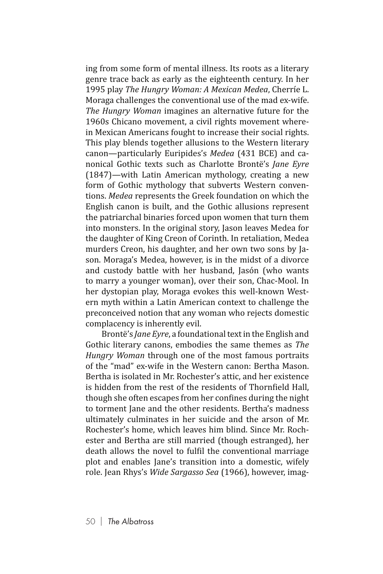ing from some form of mental illness. Its roots as a literary genre trace back as early as the eighteenth century. In her 1995 play *The Hungry Woman: A Mexican Medea*, Cherríe L. Moraga challenges the conventional use of the mad ex-wife. *The Hungry Woman* imagines an alternative future for the 1960s Chicano movement, a civil rights movement wherein Mexican Americans fought to increase their social rights. This play blends together allusions to the Western literary canon—particularly Euripides's *Medea* (431 BCE) and canonical Gothic texts such as Charlotte Brontë's *Jane Eyre* (1847)—with Latin American mythology, creating a new form of Gothic mythology that subverts Western conventions. *Medea* represents the Greek foundation on which the English canon is built, and the Gothic allusions represent the patriarchal binaries forced upon women that turn them into monsters. In the original story, Jason leaves Medea for the daughter of King Creon of Corinth. In retaliation, Medea murders Creon, his daughter, and her own two sons by Jason. Moraga's Medea, however, is in the midst of a divorce and custody battle with her husband, Jasón (who wants to marry a younger woman), over their son, Chac-Mool. In her dystopian play, Moraga evokes this well-known Western myth within a Latin American context to challenge the preconceived notion that any woman who rejects domestic complacency is inherently evil.

Brontë's *Jane Eyre*, a foundational text in the English and Gothic literary canons, embodies the same themes as *The Hungry Woman* through one of the most famous portraits of the "mad" ex-wife in the Western canon: Bertha Mason. Bertha is isolated in Mr. Rochester's attic, and her existence is hidden from the rest of the residents of Thornfield Hall, though she often escapes from her confines during the night to torment Jane and the other residents. Bertha's madness ultimately culminates in her suicide and the arson of Mr. Rochester's home, which leaves him blind. Since Mr. Rochester and Bertha are still married (though estranged), her death allows the novel to fulfil the conventional marriage plot and enables Jane's transition into a domestic, wifely role. Jean Rhys's *Wide Sargasso Sea* (1966), however, imag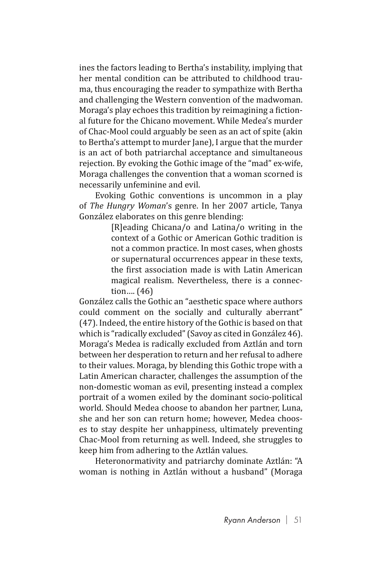ines the factors leading to Bertha's instability, implying that her mental condition can be attributed to childhood trauma, thus encouraging the reader to sympathize with Bertha and challenging the Western convention of the madwoman. Moraga's play echoes this tradition by reimagining a fictional future for the Chicano movement. While Medea's murder of Chac-Mool could arguably be seen as an act of spite (akin to Bertha's attempt to murder Jane), I argue that the murder is an act of both patriarchal acceptance and simultaneous rejection. By evoking the Gothic image of the "mad" ex-wife, Moraga challenges the convention that a woman scorned is necessarily unfeminine and evil.

Evoking Gothic conventions is uncommon in a play of *The Hungry Woman*'s genre. In her 2007 article, Tanya González elaborates on this genre blending:

> [R]eading Chicana/o and Latina/o writing in the context of a Gothic or American Gothic tradition is not a common practice. In most cases, when ghosts or supernatural occurrences appear in these texts, the first association made is with Latin American magical realism. Nevertheless, there is a connection…. (46)

González calls the Gothic an "aesthetic space where authors could comment on the socially and culturally aberrant" (47). Indeed, the entire history of the Gothic is based on that which is "radically excluded" (Savoy as cited in González 46). Moraga's Medea is radically excluded from Aztlán and torn between her desperation to return and her refusal to adhere to their values. Moraga, by blending this Gothic trope with a Latin American character, challenges the assumption of the non-domestic woman as evil, presenting instead a complex portrait of a women exiled by the dominant socio-political world. Should Medea choose to abandon her partner, Luna, she and her son can return home; however, Medea chooses to stay despite her unhappiness, ultimately preventing Chac-Mool from returning as well. Indeed, she struggles to keep him from adhering to the Aztlán values.

Heteronormativity and patriarchy dominate Aztlán: "A woman is nothing in Aztlán without a husband" (Moraga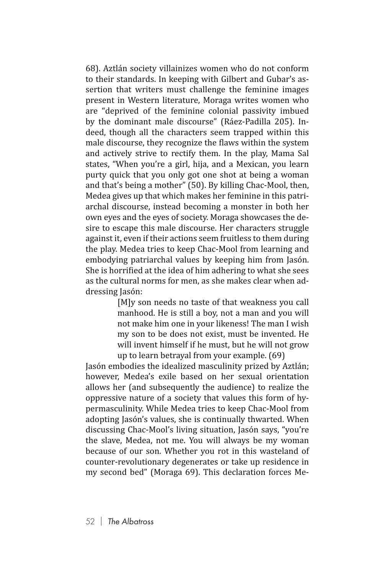68). Aztlán society villainizes women who do not conform to their standards. In keeping with Gilbert and Gubar's assertion that writers must challenge the feminine images present in Western literature, Moraga writes women who are "deprived of the feminine colonial passivity imbued by the dominant male discourse" (Ráez-Padilla 205). Indeed, though all the characters seem trapped within this male discourse, they recognize the flaws within the system and actively strive to rectify them. In the play, Mama Sal states, "When you're a girl, hija, and a Mexican, you learn purty quick that you only got one shot at being a woman and that's being a mother" (50). By killing Chac-Mool, then, Medea gives up that which makes her feminine in this patriarchal discourse, instead becoming a monster in both her own eyes and the eyes of society. Moraga showcases the desire to escape this male discourse. Her characters struggle against it, even if their actions seem fruitless to them during the play. Medea tries to keep Chac-Mool from learning and embodying patriarchal values by keeping him from Jasón. She is horrified at the idea of him adhering to what she sees as the cultural norms for men, as she makes clear when addressing Jasón:

> [M]y son needs no taste of that weakness you call manhood. He is still a boy, not a man and you will not make him one in your likeness! The man I wish my son to be does not exist, must be invented. He will invent himself if he must, but he will not grow up to learn betrayal from your example. (69)

Jasón embodies the idealized masculinity prized by Aztlán; however, Medea's exile based on her sexual orientation allows her (and subsequently the audience) to realize the oppressive nature of a society that values this form of hypermasculinity. While Medea tries to keep Chac-Mool from adopting Jasón's values, she is continually thwarted. When discussing Chac-Mool's living situation, Jasón says, "you're the slave, Medea, not me. You will always be my woman because of our son. Whether you rot in this wasteland of counter-revolutionary degenerates or take up residence in my second bed" (Moraga 69). This declaration forces Me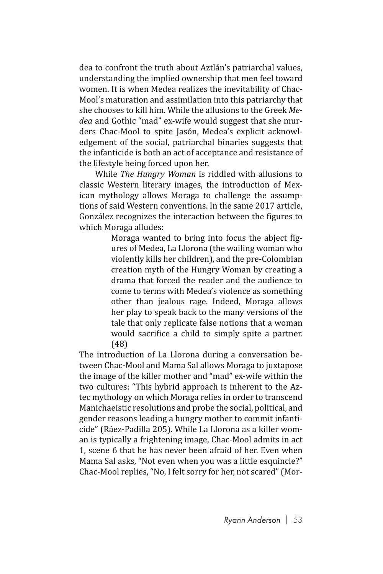dea to confront the truth about Aztlán's patriarchal values, understanding the implied ownership that men feel toward women. It is when Medea realizes the inevitability of Chac-Mool's maturation and assimilation into this patriarchy that she chooses to kill him. While the allusions to the Greek *Medea* and Gothic "mad" ex-wife would suggest that she murders Chac-Mool to spite Jasón, Medea's explicit acknowledgement of the social, patriarchal binaries suggests that the infanticide is both an act of acceptance and resistance of the lifestyle being forced upon her.

While *The Hungry Woman* is riddled with allusions to classic Western literary images, the introduction of Mexican mythology allows Moraga to challenge the assumptions of said Western conventions. In the same 2017 article, González recognizes the interaction between the figures to which Moraga alludes:

> Moraga wanted to bring into focus the abject figures of Medea, La Llorona (the wailing woman who violently kills her children), and the pre-Colombian creation myth of the Hungry Woman by creating a drama that forced the reader and the audience to come to terms with Medea's violence as something other than jealous rage. Indeed, Moraga allows her play to speak back to the many versions of the tale that only replicate false notions that a woman would sacrifice a child to simply spite a partner. (48)

The introduction of La Llorona during a conversation between Chac-Mool and Mama Sal allows Moraga to juxtapose the image of the killer mother and "mad" ex-wife within the two cultures: "This hybrid approach is inherent to the Aztec mythology on which Moraga relies in order to transcend Manichaeistic resolutions and probe the social, political, and gender reasons leading a hungry mother to commit infanticide" (Ráez-Padilla 205). While La Llorona as a killer woman is typically a frightening image, Chac-Mool admits in act 1, scene 6 that he has never been afraid of her. Even when Mama Sal asks, "Not even when you was a little esquincle?" Chac-Mool replies, "No, I felt sorry for her, not scared" (Mor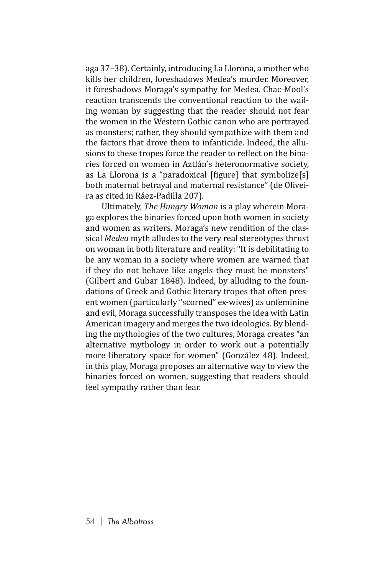aga 37–38). Certainly, introducing La Llorona, a mother who kills her children, foreshadows Medea's murder. Moreover, it foreshadows Moraga's sympathy for Medea. Chac-Mool's reaction transcends the conventional reaction to the wailing woman by suggesting that the reader should not fear the women in the Western Gothic canon who are portrayed as monsters; rather, they should sympathize with them and the factors that drove them to infanticide. Indeed, the allusions to these tropes force the reader to reflect on the binaries forced on women in Aztlán's heteronormative society, as La Llorona is a "paradoxical [figure] that symbolize[s] both maternal betrayal and maternal resistance" (de Oliveira as cited in Ráez-Padilla 207).

Ultimately, *The Hungry Woman* is a play wherein Moraga explores the binaries forced upon both women in society and women as writers. Moraga's new rendition of the classical *Medea* myth alludes to the very real stereotypes thrust on woman in both literature and reality: "It is debilitating to be any woman in a society where women are warned that if they do not behave like angels they must be monsters" (Gilbert and Gubar 1848). Indeed, by alluding to the foundations of Greek and Gothic literary tropes that often present women (particularly "scorned" ex-wives) as unfeminine and evil, Moraga successfully transposes the idea with Latin American imagery and merges the two ideologies. By blending the mythologies of the two cultures, Moraga creates "an alternative mythology in order to work out a potentially more liberatory space for women" (González 48). Indeed, in this play, Moraga proposes an alternative way to view the binaries forced on women, suggesting that readers should feel sympathy rather than fear.